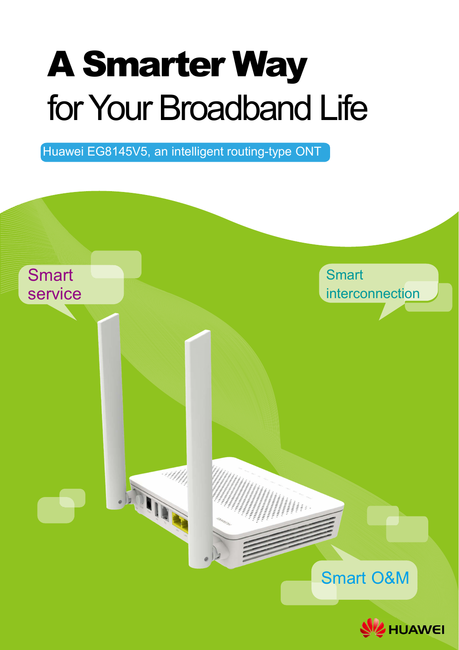# A Smarter Way for Your Broadband Life

Huawei EG8145V5, an intelligent routing-type ONT